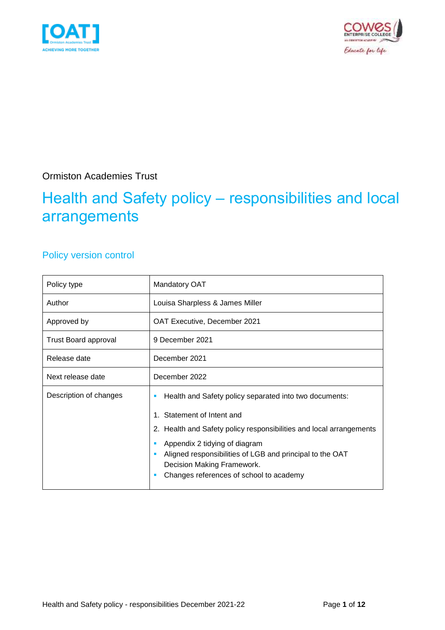



Ormiston Academies Trust

## Health and Safety policy – responsibilities and local arrangements

## Policy version control

| Policy type                 | <b>Mandatory OAT</b>                                                                                                                                                                                                                                                                                                           |  |
|-----------------------------|--------------------------------------------------------------------------------------------------------------------------------------------------------------------------------------------------------------------------------------------------------------------------------------------------------------------------------|--|
| Author                      | Louisa Sharpless & James Miller                                                                                                                                                                                                                                                                                                |  |
| Approved by                 | OAT Executive, December 2021                                                                                                                                                                                                                                                                                                   |  |
| <b>Trust Board approval</b> | 9 December 2021                                                                                                                                                                                                                                                                                                                |  |
| Release date                | December 2021                                                                                                                                                                                                                                                                                                                  |  |
| Next release date           | December 2022                                                                                                                                                                                                                                                                                                                  |  |
| Description of changes      | Health and Safety policy separated into two documents:<br>Statement of Intent and<br>2. Health and Safety policy responsibilities and local arrangements<br>Appendix 2 tidying of diagram<br>Aligned responsibilities of LGB and principal to the OAT<br>Decision Making Framework.<br>Changes references of school to academy |  |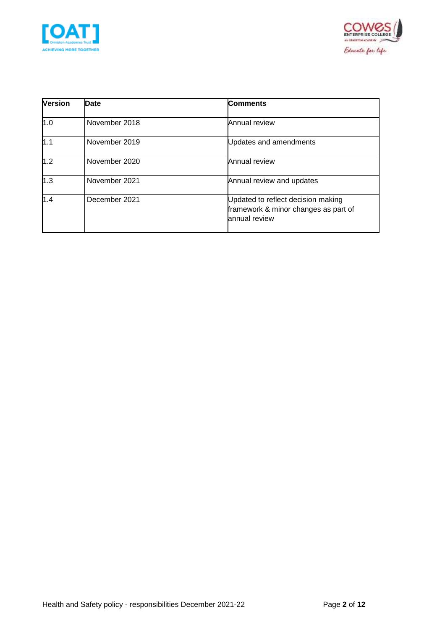



| <b>Version</b> | <b>Date</b>   | <b>Comments</b>                                                                             |
|----------------|---------------|---------------------------------------------------------------------------------------------|
| 1.0            | November 2018 | Annual review                                                                               |
| 1.1            | November 2019 | Updates and amendments                                                                      |
| 1.2            | November 2020 | Annual review                                                                               |
| 1.3            | November 2021 | Annual review and updates                                                                   |
| 1.4            | December 2021 | Updated to reflect decision making<br>framework & minor changes as part of<br>annual review |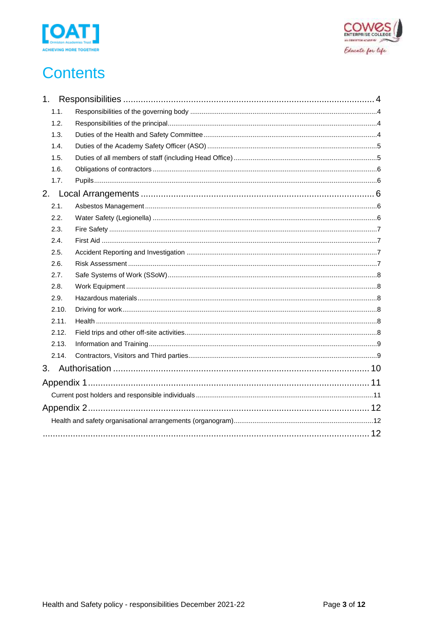



## **Contents**

| 1.1.  |  |
|-------|--|
| 1.2.  |  |
| 1.3.  |  |
| 1.4.  |  |
| 1.5.  |  |
| 1.6.  |  |
| 1.7.  |  |
|       |  |
| 2.1.  |  |
| 2.2.  |  |
| 2.3.  |  |
| 2.4.  |  |
| 2.5.  |  |
| 2.6.  |  |
| 2.7.  |  |
| 2.8.  |  |
| 2.9.  |  |
| 2.10. |  |
| 2.11. |  |
| 2.12. |  |
| 2.13. |  |
| 2.14. |  |
| 3.    |  |
|       |  |
|       |  |
|       |  |
|       |  |
|       |  |
|       |  |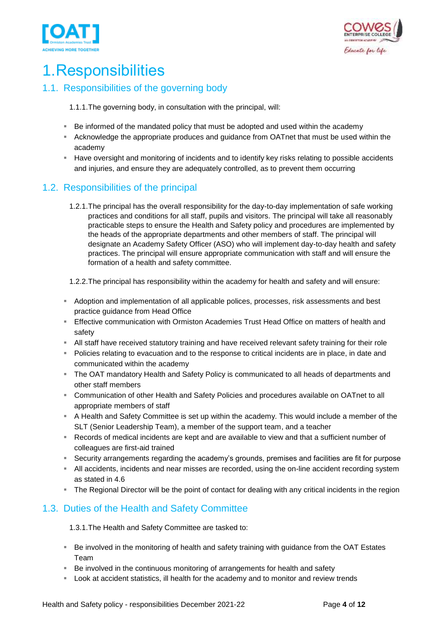



## <span id="page-3-0"></span>1.Responsibilities

### <span id="page-3-1"></span>1.1. Responsibilities of the governing body

1.1.1.The governing body, in consultation with the principal, will:

- Be informed of the mandated policy that must be adopted and used within the academy
- Acknowledge the appropriate produces and guidance from OATnet that must be used within the academy
- **EXT** Have oversight and monitoring of incidents and to identify key risks relating to possible accidents and injuries, and ensure they are adequately controlled, as to prevent them occurring

### <span id="page-3-2"></span>1.2. Responsibilities of the principal

1.2.1.The principal has the overall responsibility for the day-to-day implementation of safe working practices and conditions for all staff, pupils and visitors. The principal will take all reasonably practicable steps to ensure the Health and Safety policy and procedures are implemented by the heads of the appropriate departments and other members of staff. The principal will designate an Academy Safety Officer (ASO) who will implement day-to-day health and safety practices. The principal will ensure appropriate communication with staff and will ensure the formation of a health and safety committee.

1.2.2.The principal has responsibility within the academy for health and safety and will ensure:

- **EX** Adoption and implementation of all applicable polices, processes, risk assessments and best practice guidance from Head Office
- **Effective communication with Ormiston Academies Trust Head Office on matters of health and** safety
- **EXT** All staff have received statutory training and have received relevant safety training for their role
- **•** Policies relating to evacuation and to the response to critical incidents are in place, in date and communicated within the academy
- The OAT mandatory Health and Safety Policy is communicated to all heads of departments and other staff members
- Communication of other Health and Safety Policies and procedures available on OATnet to all appropriate members of staff
- **EXT** A Health and Safety Committee is set up within the academy. This would include a member of the SLT (Senior Leadership Team), a member of the support team, and a teacher
- Records of medical incidents are kept and are available to view and that a sufficient number of colleagues are first-aid trained
- Security arrangements regarding the academy's grounds, premises and facilities are fit for purpose
- **EXEL All accidents, incidents and near misses are recorded, using the on-line accident recording system** as stated in 4.6
- The Regional Director will be the point of contact for dealing with any critical incidents in the region

### <span id="page-3-3"></span>1.3. Duties of the Health and Safety Committee

1.3.1.The Health and Safety Committee are tasked to:

- Be involved in the monitoring of health and safety training with guidance from the OAT Estates Team
- Be involved in the continuous monitoring of arrangements for health and safety
- **EXEC** Look at accident statistics, ill health for the academy and to monitor and review trends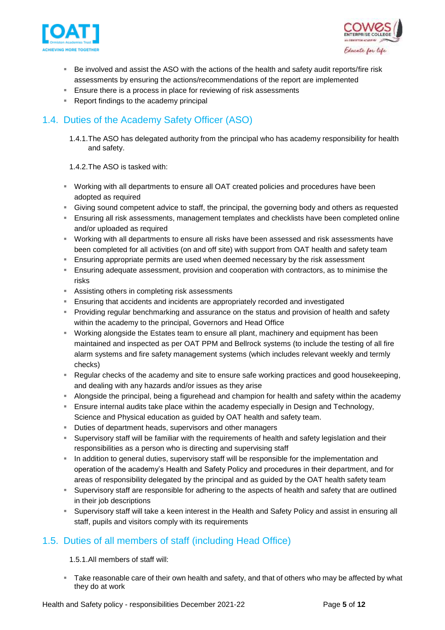



- Be involved and assist the ASO with the actions of the health and safety audit reports/fire risk assessments by ensuring the actions/recommendations of the report are implemented
- **Ensure there is a process in place for reviewing of risk assessments**
- Report findings to the academy principal

### <span id="page-4-0"></span>1.4. Duties of the Academy Safety Officer (ASO)

1.4.1.The ASO has delegated authority from the principal who has academy responsibility for health and safety.

1.4.2.The ASO is tasked with:

- Working with all departments to ensure all OAT created policies and procedures have been adopted as required
- Giving sound competent advice to staff, the principal, the governing body and others as requested
- **E** Ensuring all risk assessments, management templates and checklists have been completed online and/or uploaded as required
- Working with all departments to ensure all risks have been assessed and risk assessments have been completed for all activities (on and off site) with support from OAT health and safety team
- **E** Ensuring appropriate permits are used when deemed necessary by the risk assessment
- Ensuring adequate assessment, provision and cooperation with contractors, as to minimise the risks
- Assisting others in completing risk assessments
- **E** Ensuring that accidents and incidents are appropriately recorded and investigated
- **Providing regular benchmarking and assurance on the status and provision of health and safety** within the academy to the principal, Governors and Head Office
- **■** Working alongside the Estates team to ensure all plant, machinery and equipment has been maintained and inspected as per OAT PPM and Bellrock systems (to include the testing of all fire alarm systems and fire safety management systems (which includes relevant weekly and termly checks)
- Regular checks of the academy and site to ensure safe working practices and good housekeeping, and dealing with any hazards and/or issues as they arise
- **E** Alongside the principal, being a figurehead and champion for health and safety within the academy
- **E** Ensure internal audits take place within the academy especially in Design and Technology, Science and Physical education as guided by OAT health and safety team.
- Duties of department heads, supervisors and other managers
- **EXUPER 1** Supervisory staff will be familiar with the requirements of health and safety legislation and their responsibilities as a person who is directing and supervising staff
- **EXECT** In addition to general duties, supervisory staff will be responsible for the implementation and operation of the academy's Health and Safety Policy and procedures in their department, and for areas of responsibility delegated by the principal and as guided by the OAT health safety team
- **EX Supervisory staff are responsible for adhering to the aspects of health and safety that are outlined** in their job descriptions
- Supervisory staff will take a keen interest in the Health and Safety Policy and assist in ensuring all staff, pupils and visitors comply with its requirements

### <span id="page-4-1"></span>1.5. Duties of all members of staff (including Head Office)

1.5.1.All members of staff will:

**Take reasonable care of their own health and safety, and that of others who may be affected by what** they do at work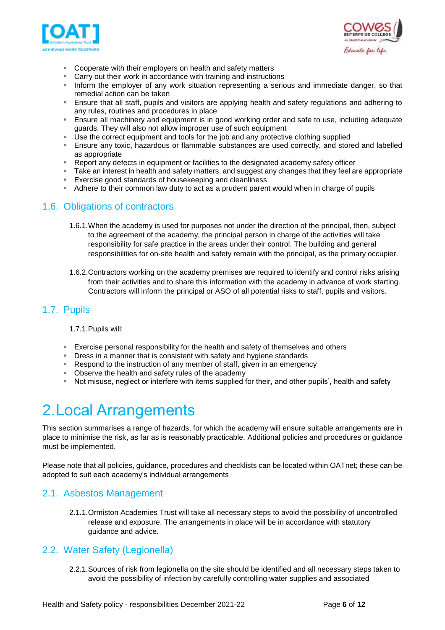



- Cooperate with their employers on health and safety matters
- Carry out their work in accordance with training and instructions
- **Inform the employer of any work situation representing a serious and immediate danger, so that** remedial action can be taken
- Ensure that all staff, pupils and visitors are applying health and safety regulations and adhering to any rules, routines and procedures in place
- **E** Ensure all machinery and equipment is in good working order and safe to use, including adequate guards. They will also not allow improper use of such equipment
- **■** Use the correct equipment and tools for the job and any protective clothing supplied
- **E** Ensure any toxic, hazardous or flammable substances are used correctly, and stored and labelled as appropriate
- **EXECTS** Report any defects in equipment or facilities to the designated academy safety officer
- Take an interest in health and safety matters, and suggest any changes that they feel are appropriate<br>■ Exercise good standards of housekeeping and cleanliness
- Exercise good standards of housekeeping and cleanliness
- Adhere to their common law duty to act as a prudent parent would when in charge of pupils

#### <span id="page-5-0"></span>1.6. Obligations of contractors

- 1.6.1.When the academy is used for purposes not under the direction of the principal, then, subject to the agreement of the academy, the principal person in charge of the activities will take responsibility for safe practice in the areas under their control. The building and general responsibilities for on-site health and safety remain with the principal, as the primary occupier.
- 1.6.2.Contractors working on the academy premises are required to identify and control risks arising from their activities and to share this information with the academy in advance of work starting. Contractors will inform the principal or ASO of all potential risks to staff, pupils and visitors.

#### <span id="page-5-1"></span>1.7. Pupils

#### 1.7.1.Pupils will:

- Exercise personal responsibility for the health and safety of themselves and others
- **EXP** Dress in a manner that is consistent with safety and hygiene standards
- Respond to the instruction of any member of staff, given in an emergency
- **Observe the health and safety rules of the academy**
- Not misuse, neglect or interfere with items supplied for their, and other pupils', health and safety

## <span id="page-5-2"></span>2.Local Arrangements

This section summarises a range of hazards, for which the academy will ensure suitable arrangements are in place to minimise the risk, as far as is reasonably practicable. Additional policies and procedures or guidance must be implemented.

Please note that all policies, guidance, procedures and checklists can be located within OATnet; these can be adopted to suit each academy's individual arrangements

#### <span id="page-5-3"></span>2.1. Asbestos Management

2.1.1.Ormiston Academies Trust will take all necessary steps to avoid the possibility of uncontrolled release and exposure. The arrangements in place will be in accordance with statutory guidance and advice.

#### <span id="page-5-4"></span>2.2. Water Safety (Legionella)

2.2.1.Sources of risk from legionella on the site should be identified and all necessary steps taken to avoid the possibility of infection by carefully controlling water supplies and associated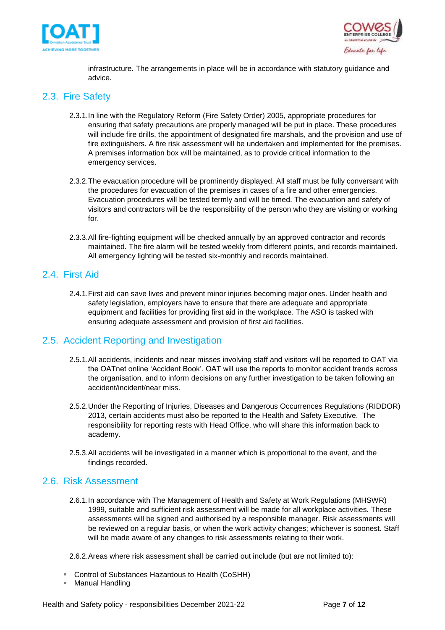



infrastructure. The arrangements in place will be in accordance with statutory guidance and advice.

#### <span id="page-6-0"></span>2.3. Fire Safety

- 2.3.1.In line with the Regulatory Reform (Fire Safety Order) 2005, appropriate procedures for ensuring that safety precautions are properly managed will be put in place. These procedures will include fire drills, the appointment of designated fire marshals, and the provision and use of fire extinguishers. A fire risk assessment will be undertaken and implemented for the premises. A premises information box will be maintained, as to provide critical information to the emergency services.
- 2.3.2.The evacuation procedure will be prominently displayed. All staff must be fully conversant with the procedures for evacuation of the premises in cases of a fire and other emergencies. Evacuation procedures will be tested termly and will be timed. The evacuation and safety of visitors and contractors will be the responsibility of the person who they are visiting or working for.
- 2.3.3.All fire-fighting equipment will be checked annually by an approved contractor and records maintained. The fire alarm will be tested weekly from different points, and records maintained. All emergency lighting will be tested six-monthly and records maintained.

#### <span id="page-6-1"></span>2.4. First Aid

2.4.1.First aid can save lives and prevent minor injuries becoming major ones. Under health and safety legislation, employers have to ensure that there are adequate and appropriate equipment and facilities for providing first aid in the workplace. The ASO is tasked with ensuring adequate assessment and provision of first aid facilities.

#### <span id="page-6-2"></span>2.5. Accident Reporting and Investigation

- 2.5.1.All accidents, incidents and near misses involving staff and visitors will be reported to OAT via the OATnet online 'Accident Book'. OAT will use the reports to monitor accident trends across the organisation, and to inform decisions on any further investigation to be taken following an accident/incident/near miss.
- 2.5.2.Under the Reporting of Injuries, Diseases and Dangerous Occurrences Regulations (RIDDOR) 2013, certain accidents must also be reported to the Health and Safety Executive. The responsibility for reporting rests with Head Office, who will share this information back to academy.
- 2.5.3.All accidents will be investigated in a manner which is proportional to the event, and the findings recorded.

#### <span id="page-6-3"></span>2.6. Risk Assessment

2.6.1.In accordance with The Management of Health and Safety at Work Regulations (MHSWR) 1999, suitable and sufficient risk assessment will be made for all workplace activities. These assessments will be signed and authorised by a responsible manager. Risk assessments will be reviewed on a regular basis, or when the work activity changes; whichever is soonest. Staff will be made aware of any changes to risk assessments relating to their work.

2.6.2.Areas where risk assessment shall be carried out include (but are not limited to):

- Control of Substances Hazardous to Health (CoSHH)
- Manual Handling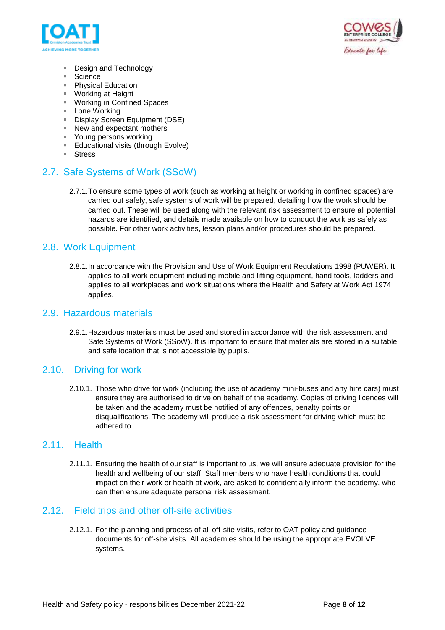



- Design and Technology
- Science
- Physical Education
- Working at Height
- Working in Confined Spaces
- Lone Working
- **Display Screen Equipment (DSE)**
- New and expectant mothers
- Young persons working
- Educational visits (through Evolve)
- Stress

#### <span id="page-7-0"></span>2.7. Safe Systems of Work (SSoW)

2.7.1.To ensure some types of work (such as working at height or working in confined spaces) are carried out safely, safe systems of work will be prepared, detailing how the work should be carried out. These will be used along with the relevant risk assessment to ensure all potential hazards are identified, and details made available on how to conduct the work as safely as possible. For other work activities, lesson plans and/or procedures should be prepared.

#### <span id="page-7-1"></span>2.8. Work Equipment

2.8.1.In accordance with the Provision and Use of Work Equipment Regulations 1998 (PUWER). It applies to all work equipment including mobile and lifting equipment, hand tools, ladders and applies to all workplaces and work situations where the Health and Safety at Work Act 1974 applies.

#### <span id="page-7-2"></span>2.9. Hazardous materials

2.9.1.Hazardous materials must be used and stored in accordance with the risk assessment and Safe Systems of Work (SSoW). It is important to ensure that materials are stored in a suitable and safe location that is not accessible by pupils.

#### <span id="page-7-3"></span>2.10. Driving for work

2.10.1. Those who drive for work (including the use of academy mini-buses and any hire cars) must ensure they are authorised to drive on behalf of the academy. Copies of driving licences will be taken and the academy must be notified of any offences, penalty points or disqualifications. The academy will produce a risk assessment for driving which must be adhered to.

#### <span id="page-7-4"></span>2.11. Health

2.11.1. Ensuring the health of our staff is important to us, we will ensure adequate provision for the health and wellbeing of our staff. Staff members who have health conditions that could impact on their work or health at work, are asked to confidentially inform the academy, who can then ensure adequate personal risk assessment.

#### <span id="page-7-5"></span>2.12. Field trips and other off-site activities

2.12.1. For the planning and process of all off-site visits, refer to OAT policy and guidance documents for off-site visits. All academies should be using the appropriate EVOLVE systems.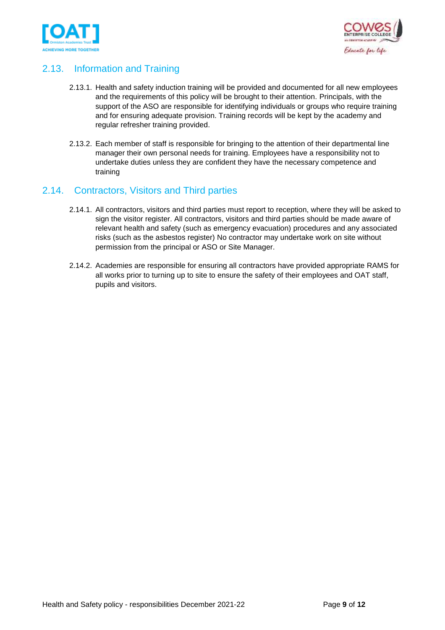



### <span id="page-8-0"></span>2.13. Information and Training

- 2.13.1. Health and safety induction training will be provided and documented for all new employees and the requirements of this policy will be brought to their attention. Principals, with the support of the ASO are responsible for identifying individuals or groups who require training and for ensuring adequate provision. Training records will be kept by the academy and regular refresher training provided.
- 2.13.2. Each member of staff is responsible for bringing to the attention of their departmental line manager their own personal needs for training. Employees have a responsibility not to undertake duties unless they are confident they have the necessary competence and training

### <span id="page-8-1"></span>2.14. Contractors, Visitors and Third parties

- 2.14.1. All contractors, visitors and third parties must report to reception, where they will be asked to sign the visitor register. All contractors, visitors and third parties should be made aware of relevant health and safety (such as emergency evacuation) procedures and any associated risks (such as the asbestos register) No contractor may undertake work on site without permission from the principal or ASO or Site Manager.
- 2.14.2. Academies are responsible for ensuring all contractors have provided appropriate RAMS for all works prior to turning up to site to ensure the safety of their employees and OAT staff, pupils and visitors.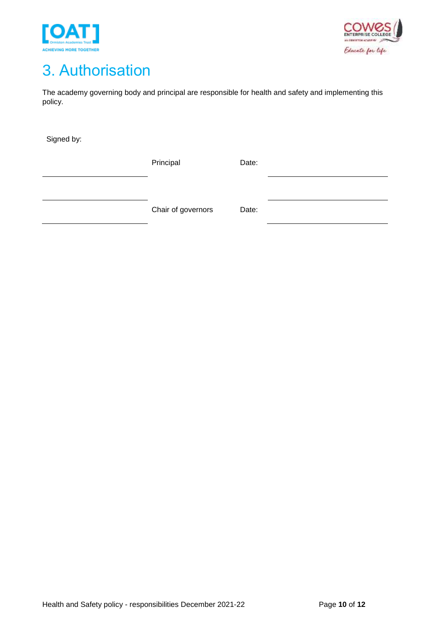



## <span id="page-9-0"></span>3. Authorisation

The academy governing body and principal are responsible for health and safety and implementing this policy.

Signed by:

Principal Date:

Chair of governors Date: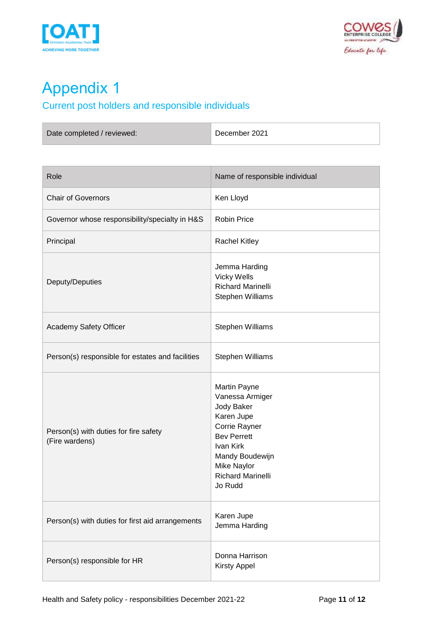



# <span id="page-10-0"></span>Appendix 1

## <span id="page-10-1"></span>Current post holders and responsible individuals

| Date completed / reviewed: | December 2021 |
|----------------------------|---------------|
|                            |               |

| Role                                                    | Name of responsible individual                                                                                                                                                                  |
|---------------------------------------------------------|-------------------------------------------------------------------------------------------------------------------------------------------------------------------------------------------------|
| <b>Chair of Governors</b>                               | Ken Lloyd                                                                                                                                                                                       |
| Governor whose responsibility/specialty in H&S          | <b>Robin Price</b>                                                                                                                                                                              |
| Principal                                               | <b>Rachel Kitley</b>                                                                                                                                                                            |
| Deputy/Deputies                                         | Jemma Harding<br><b>Vicky Wells</b><br><b>Richard Marinelli</b><br>Stephen Williams                                                                                                             |
| Academy Safety Officer                                  | Stephen Williams                                                                                                                                                                                |
| Person(s) responsible for estates and facilities        | Stephen Williams                                                                                                                                                                                |
| Person(s) with duties for fire safety<br>(Fire wardens) | Martin Payne<br>Vanessa Armiger<br>Jody Baker<br>Karen Jupe<br>Corrie Rayner<br><b>Bev Perrett</b><br>Ivan Kirk<br>Mandy Boudewijn<br><b>Mike Naylor</b><br><b>Richard Marinelli</b><br>Jo Rudd |
| Person(s) with duties for first aid arrangements        | Karen Jupe<br>Jemma Harding                                                                                                                                                                     |
| Person(s) responsible for HR                            | Donna Harrison<br><b>Kirsty Appel</b>                                                                                                                                                           |